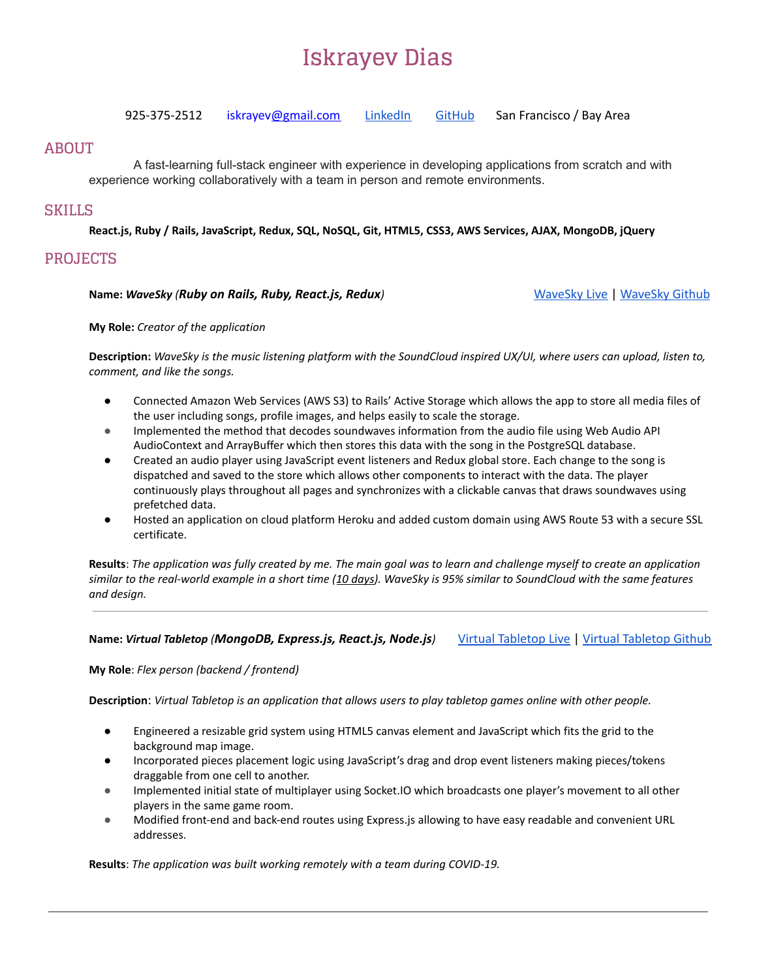# **Iskrayev Dias**

925-375-2512 iskraye[v@gmail.com](mailto:amazing@amazingstudents.com) [LinkedIn](https://www.linkedin.com/in/iskrayev) [GitHub](https://github.com/iskraev) San Francisco / Bay Area

### **ABOUT**

A fast-learning full-stack engineer with experience in developing applications from scratch and with experience working collaboratively with a team in person and remote environments.

## **SKILLS**

**React.js, Ruby / Rails, JavaScript, Redux, SQL, NoSQL, Git, HTML5, CSS3, AWS Services, AJAX, MongoDB, jQuery**

# **PROJECTS**

#### **Name:** *WaveSky (Ruby on Rails, Ruby, React.js, Redux)* [WaveSky](https://wavesky.iskrayev.com/) Live | [WaveSky](https://github.com/iskraev/WaveSky) Github

**My Role:** *Creator of the application*

Description: WaveSky is the music listening platform with the SoundCloud inspired UX/UI, where users can upload, listen to, *comment, and like the songs.*

- Connected Amazon Web Services (AWS S3) to Rails' Active Storage which allows the app to store all media files of the user including songs, profile images, and helps easily to scale the storage.
- Implemented the method that decodes soundwaves information from the audio file using Web Audio API AudioContext and ArrayBuffer which then stores this data with the song in the PostgreSQL database.
- Created an audio player using JavaScript event listeners and Redux global store. Each change to the song is dispatched and saved to the store which allows other components to interact with the data. The player continuously plays throughout all pages and synchronizes with a clickable canvas that draws soundwaves using prefetched data.
- Hosted an application on cloud platform Heroku and added custom domain using AWS Route 53 with a secure SSL certificate.

Results: The application was fully created by me. The main goal was to learn and challenge myself to create an application similar to the real-world example in a short time (10 days). WaveSky is 95% similar to SoundCloud with the same features *and design.*

#### **Name:** *Virtual Tabletop (MongoDB, Express.js, React.js, Node.js)* Virtual [Tabletop](https://virtualtabletop.herokuapp.com/) Live | Virtual [Tabletop](https://github.com/drice89/virtual_tabletop) Github

**My Role**: *Flex person (backend / frontend)*

Description: Virtual Tabletop is an application that allows users to play tabletop games online with other people.

- Engineered a resizable grid system using HTML5 canvas element and JavaScript which fits the grid to the background map image.
- Incorporated pieces placement logic using JavaScript's drag and drop event listeners making pieces/tokens draggable from one cell to another.
- Implemented initial state of multiplayer using Socket.IO which broadcasts one player's movement to all other players in the same game room.
- Modified front-end and back-end routes using Express.js allowing to have easy readable and convenient URL addresses.

**Results**: *The application was built working remotely with a team during COVID-19.*